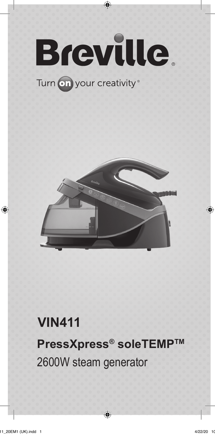

⊕

# **PressXpress® soleTEMPTM VIN411** 2600W steam generator

◈

⊕

⊕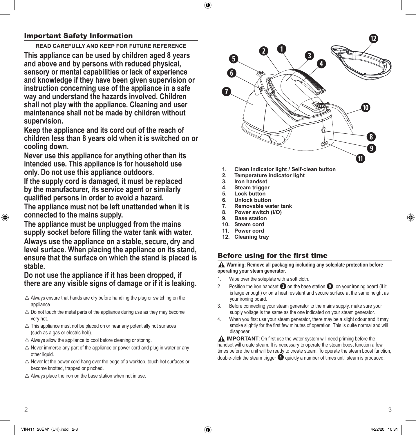## Important Safety Information

**READ CAREFULLY AND KEEP FOR FUTURE REFERENCE**

**This appliance can be used by children aged 8 years and above and by persons with reduced physical, sensory or mental capabilities or lack of experience and knowledge if they have been given supervision or instruction concerning use of the appliance in a safe way and understand the hazards involved. Children shall not play with the appliance. Cleaning and user maintenance shall not be made by children without supervision.** 

**Keep the appliance and its cord out of the reach of children less than 8 years old when it is switched on or cooling down.** 

**Never use this appliance for anything other than its intended use. This appliance is for household use only. Do not use this appliance outdoors.** 

**If the supply cord is damaged, it must be replaced by the manufacturer, its service agent or similarly qualified persons in order to avoid a hazard.** 

**The appliance must not be left unattended when it is connected to the mains supply.** 

**The appliance must be unplugged from the mains supply socket before filling the water tank with water. Always use the appliance on a stable, secure, dry and level surface. When placing the appliance on its stand, ensure that the surface on which the stand is placed is stable.** 

**Do not use the appliance if it has been dropped, if there are any visible signs of damage or if it is leaking.**

- $\triangle$  Always ensure that hands are dry before handling the plug or switching on the appliance.
- $\triangle$  Do not touch the metal parts of the appliance during use as they may become very hot.
- $\triangle$  This appliance must not be placed on or near any potentially hot surfaces (such as a gas or electric hob).
- $\triangle$  Always allow the appliance to cool before cleaning or storing.
- $\triangle$  Never immerse any part of the appliance or power cord and plug in water or any other liquid.
- $\triangle$  Never let the power cord hang over the edge of a worktop, touch hot surfaces or become knotted, trapped or pinched.
- $\triangle$  Always place the iron on the base station when not in use.



- **1. Clean indicator light / Self-clean button**
- **2. Temperature indicator light**
- **3. Iron handset**
- **4. Steam trigger**
- **5. Lock button**
- **6. Unlock button**
- **7. Removable water tank**
- **8. Power switch (I/O)**
- **9. Base station 10. Steam cord**
- **11. Power cord**
- 
- **12. Cleaning tray**

## Before using for the first time

**Warning: Remove all packaging including any soleplate protection before operating your steam generator.** 

- 1. Wipe over the soleplate with a soft cloth.
- 2. Position the iron handset  $\bullet$  on the base station  $\bullet$ , on your ironing board (if it is large enough) or on a heat resistant and secure surface at the same height as your ironing board.
- 3. Before connecting your steam generator to the mains supply, make sure your supply voltage is the same as the one indicated on your steam generator.
- 4. When you first use your steam generator, there may be a slight odour and it may smoke slightly for the first few minutes of operation. This is quite normal and will disappear.

**A IMPORTANT:** On first use the water system will need priming before the handset will create steam. It is necessary to operate the steam boost function a few times before the unit will be ready to create steam. To operate the steam boost function, double-click the steam trigger **r** quickly a number of times until steam is produced.

⊕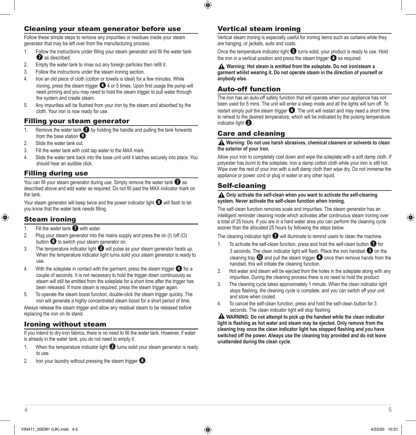## Cleaning your steam generator before use

Follow these simple steps to remove any impurities or residues inside your steam generator that may be left over from the manufacturing process.

- 1. Follow the instructions under filling your steam generator and fill the water tank *u* as described.
- 2. Empty the water tank to rinse out any foreign particles then refill it.
- 3. Follow the instructions under the steam ironing section.
- 4. Iron an old piece of cloth (cotton or towels is ideal) for a few minutes. While ironing, press the steam trigger **1** 4 or 5 times. Upon first usage the pump will need priming and you may need to hold the steam trigger to pull water through the system and create steam.
- 5. Any impurities will be flushed from your iron by the steam and absorbed by the cloth. Your iron is now ready for use.

## Filling your steam generator

- 1. Remove the water tank  $\bullet$  by holding the handle and pulling the tank forwards from the base station  $\bullet$ .
- 2. Slide the water tank out.
- 3. Fill the water tank with cold tap water to the MAX mark.
- 4. Slide the water tank back into the base unit until it latches securely into place. You should hear an audible click.

## Filling during use

You can fill your steam generator during use. Simply remove the water tank  $\bullet$  as described above and add water as required. Do not fill past the MAX indicator mark on the tank.

Your steam generator will beep twice and the power indicator light  $\bullet$  will flash to let you know that the water tank needs filling.

## Steam ironing

⊕

- 1. Fill the water tank **1** with water.<br>2. Plug your steam generator into the
- Plug your steam generator into the mains supply and press the on (I) /off (O) button  $\bullet$  to switch your steam generator on.
- 3. The temperature indicator light **@** will pulse as your steam generator heats up. When the temperature indicator light turns solid your steam generator is ready to use.
- 4. With the soleplate in contact with the garment, press the steam trigger **r** for a couple of seconds. It is not necessary to hold the trigger down continuously as steam will still be emitted from the soleplate for a short time after the trigger has been released. If more steam is required, press the steam trigger again.
- 5. To operate the steam boost function, double-click the steam trigger quickly. The iron will generate a highly concentrated steam boost for a short period of time.

Always release the steam trigger and allow any residual steam to be released before replacing the iron on its stand.

## Ironing without steam

If you intend to dry-iron fabrics, there is no need to fill the water tank. However, if water is already in the water tank, you do not need to empty it.

- 1. When the temperature indicator light **@** turns solid your steam generator is ready to use.
- 2. Iron your laundry without pressing the steam trigger **r**.

## Vertical steam ironing

Vertical steam ironing is especially useful for ironing items such as curtains while they are hanging, or jackets, suits and coats.

Once the temperature indicator light **@** turns solid, your product is ready to use. Hold the iron in a vertical position and press the steam trigger **r** as required.

**Warning: Hot steam is emitted from the soleplate. Do not iron/steam a garment whilst wearing it. Do not operate steam in the direction of yourself or anybody else.** 

## Auto-off function

The iron has an auto-off safety function that will operate when your appliance has not been used for 5 mins. The unit will enter a sleep mode and all the lights will turn off. To restart simply pull the steam trigger *o*. The unit will restart and may need a short time to reheat to the desired temperature, which will be indicated by the pulsing temperature indicator light **2**.

## Care and cleaning

#### **Warning: Do not use harsh abrasives, chemical cleaners or solvents to clean the exterior of your iron.**

Allow your iron to completely cool down and wipe the soleplate with a soft damp cloth. If polyester has burnt to the soleplate, iron a damp cotton cloth while your iron is still hot. Wipe over the rest of your iron with a soft damp cloth then wipe dry. Do not immerse the appliance or power cord or plug in water or any other liquid.

## Self-cleaning

#### **A** Only activate the self-clean when you want to activate the self-cleaning **system. Never activate the self-clean function when ironing.**

The self-clean function removes scale and impurities. The steam generator has an intelligent reminder cleaning mode which activates after continuous steam ironing over a total of 25 hours. If you are in a hard water area you can perform the cleaning cycle sooner than the allocated 25 hours by following the steps below.

The cleaning indicator light **q** will illuminate to remind users to clean the machine.

- 1. To activate the self-clean function, press and hold the self-clean button **q** for 3 seconds. The clean indicator light will flash. Place the iron handset **e** on the cleaning tray **d** and pull the steam trigger **r** once then remove hands from the handset, this will initiate the cleaning function.
- 2. Hot water and steam will be ejected from the holes in the soleplate along with any impurities. During the cleaning process there is no need to hold the product.
- 3. The cleaning cycle takes approximately 1 minute. When the clean indicator light stops flashing, the cleaning cycle is complete, and you can switch off your unit and store when cooled.
- 4. To cancel the self-clean function, press and hold the self-clean button for 3 seconds. The clean indicator light will stop flashing.

 **WARNING: Do not attempt to pick up the handset while the clean indicator light is flashing as hot water and steam may be ejected. Only remove from the cleaning tray once the clean indicator light has stopped flashing and you have switched off the power. Always use the cleaning tray provided and do not leave unattended during the clean cycle.**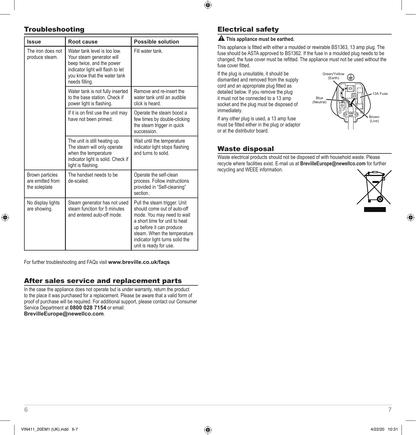## $\bigcirc$

## Troubleshooting

| <b>Issue</b>                                         | Root cause                                                                                                                                                                    | <b>Possible solution</b>                                                                                                                                                                                                                           |
|------------------------------------------------------|-------------------------------------------------------------------------------------------------------------------------------------------------------------------------------|----------------------------------------------------------------------------------------------------------------------------------------------------------------------------------------------------------------------------------------------------|
| The iron does not<br>produce steam.                  | Water tank level is too low.<br>Your steam generator will<br>beep twice, and the power<br>indicator light will flash to let<br>you know that the water tank<br>needs filling. | Fill water tank.                                                                                                                                                                                                                                   |
|                                                      | Water tank is not fully inserted<br>to the base station. Check if<br>power light is flashing.                                                                                 | Remove and re-insert the<br>water tank until an audible<br>click is heard.                                                                                                                                                                         |
|                                                      | If it is on first use the unit may<br>have not been primed.                                                                                                                   | Operate the steam boost a<br>few times by double-clicking<br>the steam trigger in quick<br>succession.                                                                                                                                             |
|                                                      | The unit is still heating up.<br>The steam will only operate<br>when the temperature<br>indicator light is solid. Check if<br>light is flashing.                              | Wait until the temperature<br>indicator light stops flashing<br>and turns to solid.                                                                                                                                                                |
| Brown particles<br>are emitted from<br>the soleplate | The handset needs to be<br>de-scaled                                                                                                                                          | Operate the self-clean<br>process. Follow instructions<br>provided in "Self-cleaning"<br>section                                                                                                                                                   |
| No display lights<br>are showing.                    | Steam generator has not used<br>steam function for 5 minutes<br>and entered auto-off mode.                                                                                    | Pull the steam trigger. Unit<br>should come out of auto-off<br>mode. You may need to wait<br>a short time for unit to heat<br>up before it can produce<br>steam. When the temperature<br>indicator light turns solid the<br>unit is ready for use. |

For further troubleshooting and FAQs visit **www.breville.co.uk/faqs**

## After sales service and replacement parts

In the case the appliance does not operate but is under warranty, return the product to the place it was purchased for a replacement. Please be aware that a valid form of proof of purchase will be required. For additional support, please contact our Consumer Service Department at **0800 028 7154** or email: **BrevilleEurope@newellco.com**.

## Electrical safety

#### **A** This appliance must be earthed.

This appliance is fitted with either a moulded or rewirable BS1363, 13 amp plug. The fuse should be ASTA approved to BS1362. If the fuse in a moulded plug needs to be changed, the fuse cover must be refitted. The appliance must not be used without the fuse cover fitted.

> Blue (Neutral)

Green/Yellow (Earth)

 $\epsilon$ 

If the plug is unsuitable, it should be dismantled and removed from the supply cord and an appropriate plug fitted as detailed below. If you remove the plug it must not be connected to a 13 amp socket and the plug must be disposed of immediately.

If any other plug is used, a 13 amp fuse must be fitted either in the plug or adaptor or at the distributor board.

## Waste disposal

Waste electrical products should not be disposed of with household waste. Please recycle where facilities exist. E-mail us at **BrevilleEurope@newellco.com** for further recycling and WEEE information.



⊕

Brown (Live)

3A Fuse

⊕

6 and 2012 12:00 to 2012 12:00 to 2012 12:00 to 2012 12:00 12:00 12:00 12:00 12:00 12:00 12:00 12:00 12:00 12:0